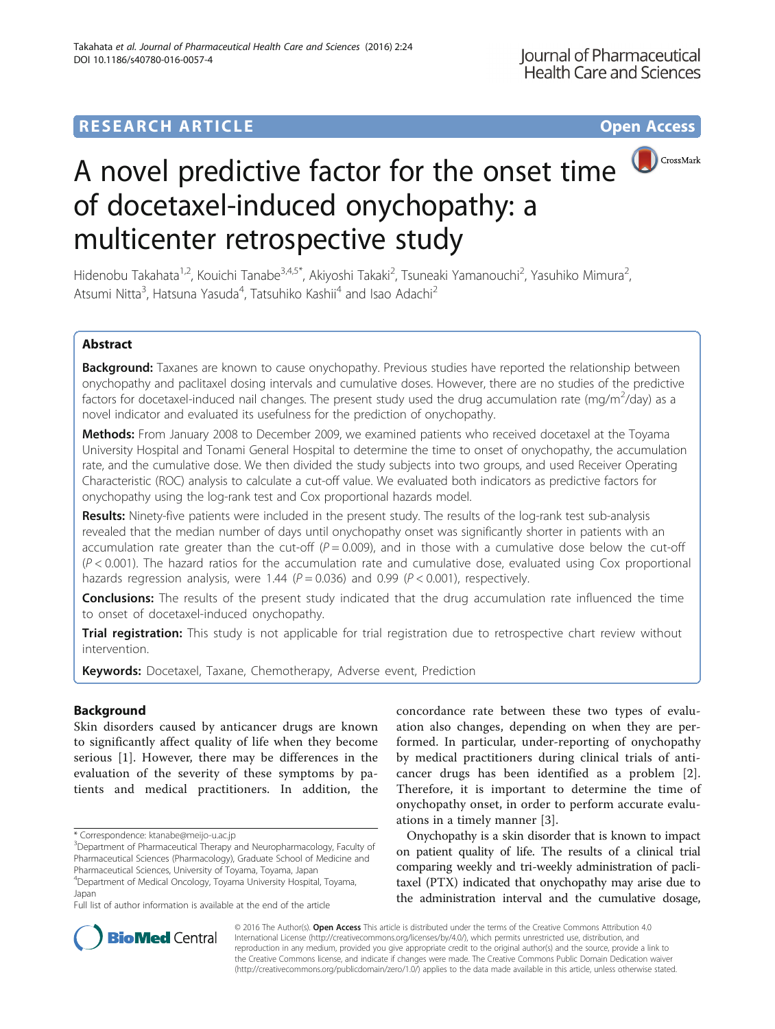# **RESEARCH ARTICLE Example 2014 12:30 The Contract of Contract ACCESS**



# A novel predictive factor for the onset time of docetaxel-induced onychopathy: a multicenter retrospective study

Hidenobu Takahata<sup>1,2</sup>, Kouichi Tanabe<sup>3,4,5\*</sup>, Akiyoshi Takaki<sup>2</sup>, Tsuneaki Yamanouchi<sup>2</sup>, Yasuhiko Mimura<sup>2</sup> .<br>, Atsumi Nitta<sup>3</sup>, Hatsuna Yasuda<sup>4</sup>, Tatsuhiko Kashii<sup>4</sup> and Isao Adachi<sup>2</sup>

# Abstract

Background: Taxanes are known to cause onychopathy. Previous studies have reported the relationship between onychopathy and paclitaxel dosing intervals and cumulative doses. However, there are no studies of the predictive factors for docetaxel-induced nail changes. The present study used the drug accumulation rate (mg/m<sup>2</sup>/day) as a novel indicator and evaluated its usefulness for the prediction of onychopathy.

Methods: From January 2008 to December 2009, we examined patients who received docetaxel at the Toyama University Hospital and Tonami General Hospital to determine the time to onset of onychopathy, the accumulation rate, and the cumulative dose. We then divided the study subjects into two groups, and used Receiver Operating Characteristic (ROC) analysis to calculate a cut-off value. We evaluated both indicators as predictive factors for onychopathy using the log-rank test and Cox proportional hazards model.

Results: Ninety-five patients were included in the present study. The results of the log-rank test sub-analysis revealed that the median number of days until onychopathy onset was significantly shorter in patients with an accumulation rate greater than the cut-off ( $P = 0.009$ ), and in those with a cumulative dose below the cut-off  $(P < 0.001)$ . The hazard ratios for the accumulation rate and cumulative dose, evaluated using Cox proportional hazards regression analysis, were 1.44 ( $P = 0.036$ ) and 0.99 ( $P < 0.001$ ), respectively.

**Conclusions:** The results of the present study indicated that the drug accumulation rate influenced the time to onset of docetaxel-induced onychopathy.

Trial registration: This study is not applicable for trial registration due to retrospective chart review without intervention.

Keywords: Docetaxel, Taxane, Chemotherapy, Adverse event, Prediction

# Background

Skin disorders caused by anticancer drugs are known to significantly affect quality of life when they become serious [[1](#page-5-0)]. However, there may be differences in the evaluation of the severity of these symptoms by patients and medical practitioners. In addition, the

4 Department of Medical Oncology, Toyama University Hospital, Toyama, Japan

Full list of author information is available at the end of the article

concordance rate between these two types of evaluation also changes, depending on when they are performed. In particular, under-reporting of onychopathy by medical practitioners during clinical trials of anticancer drugs has been identified as a problem [[2](#page-5-0)]. Therefore, it is important to determine the time of onychopathy onset, in order to perform accurate evaluations in a timely manner [[3\]](#page-5-0).

Onychopathy is a skin disorder that is known to impact on patient quality of life. The results of a clinical trial comparing weekly and tri-weekly administration of paclitaxel (PTX) indicated that onychopathy may arise due to the administration interval and the cumulative dosage,



© 2016 The Author(s). Open Access This article is distributed under the terms of the Creative Commons Attribution 4.0 International License [\(http://creativecommons.org/licenses/by/4.0/](http://creativecommons.org/licenses/by/4.0/)), which permits unrestricted use, distribution, and reproduction in any medium, provided you give appropriate credit to the original author(s) and the source, provide a link to the Creative Commons license, and indicate if changes were made. The Creative Commons Public Domain Dedication waiver [\(http://creativecommons.org/publicdomain/zero/1.0/](http://creativecommons.org/publicdomain/zero/1.0/)) applies to the data made available in this article, unless otherwise stated.

<sup>\*</sup> Correspondence: [ktanabe@meijo-u.ac.jp](mailto:ktanabe@meijo-u.ac.jp) <sup>3</sup>

<sup>&</sup>lt;sup>3</sup>Department of Pharmaceutical Therapy and Neuropharmacology, Faculty of Pharmaceutical Sciences (Pharmacology), Graduate School of Medicine and Pharmaceutical Sciences, University of Toyama, Toyama, Japan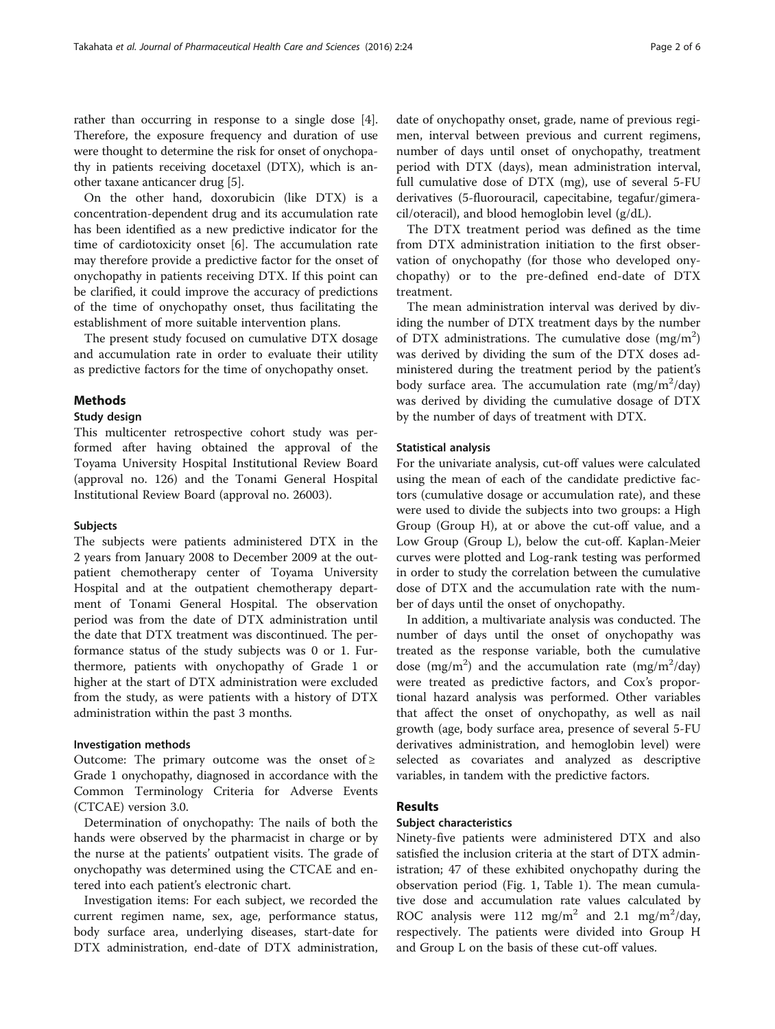rather than occurring in response to a single dose [[4](#page-5-0)]. Therefore, the exposure frequency and duration of use were thought to determine the risk for onset of onychopathy in patients receiving docetaxel (DTX), which is another taxane anticancer drug [[5](#page-5-0)].

On the other hand, doxorubicin (like DTX) is a concentration-dependent drug and its accumulation rate has been identified as a new predictive indicator for the time of cardiotoxicity onset [[6](#page-5-0)]. The accumulation rate may therefore provide a predictive factor for the onset of onychopathy in patients receiving DTX. If this point can be clarified, it could improve the accuracy of predictions of the time of onychopathy onset, thus facilitating the establishment of more suitable intervention plans.

The present study focused on cumulative DTX dosage and accumulation rate in order to evaluate their utility as predictive factors for the time of onychopathy onset.

## Methods

#### Study design

This multicenter retrospective cohort study was performed after having obtained the approval of the Toyama University Hospital Institutional Review Board (approval no. 126) and the Tonami General Hospital Institutional Review Board (approval no. 26003).

## Subjects

The subjects were patients administered DTX in the 2 years from January 2008 to December 2009 at the outpatient chemotherapy center of Toyama University Hospital and at the outpatient chemotherapy department of Tonami General Hospital. The observation period was from the date of DTX administration until the date that DTX treatment was discontinued. The performance status of the study subjects was 0 or 1. Furthermore, patients with onychopathy of Grade 1 or higher at the start of DTX administration were excluded from the study, as were patients with a history of DTX administration within the past 3 months.

# Investigation methods

Outcome: The primary outcome was the onset of  $\geq$ Grade 1 onychopathy, diagnosed in accordance with the Common Terminology Criteria for Adverse Events (CTCAE) version 3.0.

Determination of onychopathy: The nails of both the hands were observed by the pharmacist in charge or by the nurse at the patients' outpatient visits. The grade of onychopathy was determined using the CTCAE and entered into each patient's electronic chart.

Investigation items: For each subject, we recorded the current regimen name, sex, age, performance status, body surface area, underlying diseases, start-date for DTX administration, end-date of DTX administration,

date of onychopathy onset, grade, name of previous regimen, interval between previous and current regimens, number of days until onset of onychopathy, treatment period with DTX (days), mean administration interval, full cumulative dose of DTX (mg), use of several 5-FU derivatives (5-fluorouracil, capecitabine, tegafur/gimeracil/oteracil), and blood hemoglobin level (g/dL).

The DTX treatment period was defined as the time from DTX administration initiation to the first observation of onychopathy (for those who developed onychopathy) or to the pre-defined end-date of DTX treatment.

The mean administration interval was derived by dividing the number of DTX treatment days by the number of DTX administrations. The cumulative dose  $(mg/m^2)$ was derived by dividing the sum of the DTX doses administered during the treatment period by the patient's body surface area. The accumulation rate  $(mg/m^2/day)$ was derived by dividing the cumulative dosage of DTX by the number of days of treatment with DTX.

## Statistical analysis

For the univariate analysis, cut-off values were calculated using the mean of each of the candidate predictive factors (cumulative dosage or accumulation rate), and these were used to divide the subjects into two groups: a High Group (Group H), at or above the cut-off value, and a Low Group (Group L), below the cut-off. Kaplan-Meier curves were plotted and Log-rank testing was performed in order to study the correlation between the cumulative dose of DTX and the accumulation rate with the number of days until the onset of onychopathy.

In addition, a multivariate analysis was conducted. The number of days until the onset of onychopathy was treated as the response variable, both the cumulative dose (mg/m<sup>2</sup>) and the accumulation rate (mg/m<sup>2</sup>/day) were treated as predictive factors, and Cox's proportional hazard analysis was performed. Other variables that affect the onset of onychopathy, as well as nail growth (age, body surface area, presence of several 5-FU derivatives administration, and hemoglobin level) were selected as covariates and analyzed as descriptive variables, in tandem with the predictive factors.

# Results

#### Subject characteristics

Ninety-five patients were administered DTX and also satisfied the inclusion criteria at the start of DTX administration; 47 of these exhibited onychopathy during the observation period (Fig. [1,](#page-2-0) Table [1](#page-2-0)). The mean cumulative dose and accumulation rate values calculated by ROC analysis were  $112 \text{ mg/m}^2$  and  $2.1 \text{ mg/m}^2/\text{day}$ , respectively. The patients were divided into Group H and Group L on the basis of these cut-off values.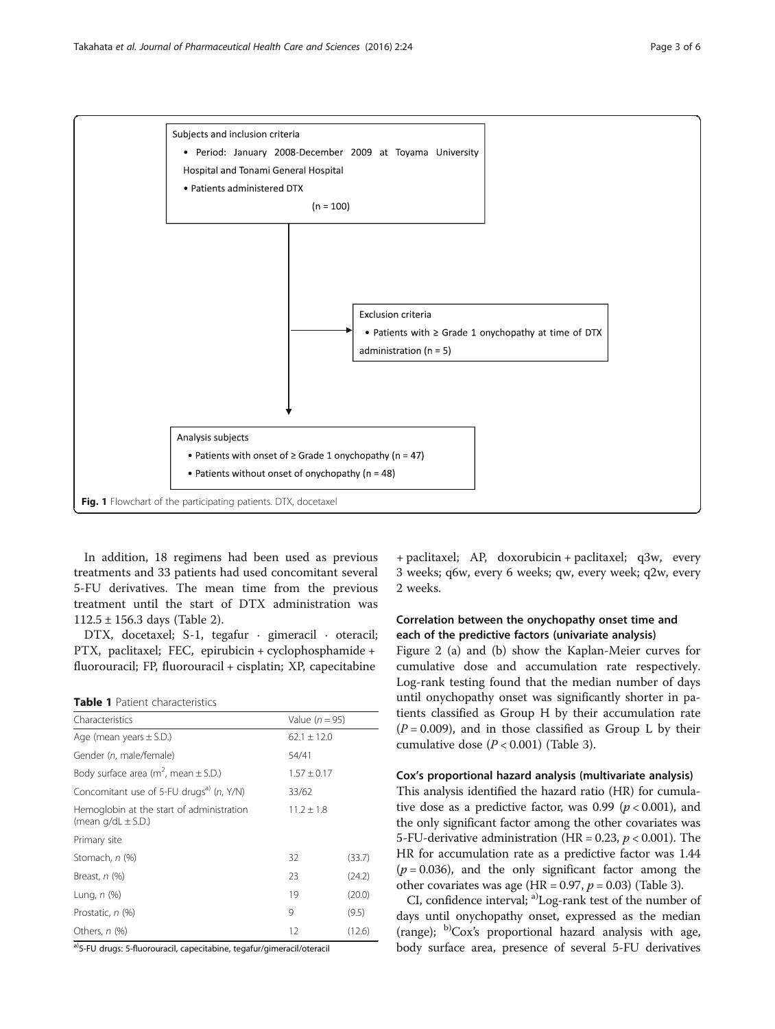<span id="page-2-0"></span>

In addition, 18 regimens had been used as previous treatments and 33 patients had used concomitant several 5-FU derivatives. The mean time from the previous treatment until the start of DTX administration was 112.5 ± 156.3 days (Table [2\)](#page-3-0).

DTX, docetaxel; S-1, tegafur ∙ gimeracil ∙ oteracil; PTX, paclitaxel; FEC, epirubicin + cyclophosphamide + fluorouracil; FP, fluorouracil + cisplatin; XP, capecitabine

## Table 1 Patient characteristics

| Characteristics                                                      | Value $(n = 95)$ |        |
|----------------------------------------------------------------------|------------------|--------|
| Age (mean years $\pm$ S.D.)                                          | $62.1 \pm 12.0$  |        |
| Gender (n, male/female)                                              | 54/41            |        |
| Body surface area ( $m^2$ , mean $\pm$ S.D.)                         | $1.57 \pm 0.17$  |        |
| Concomitant use of 5-FU drugs <sup>a)</sup> (n, Y/N)                 | 33/62            |        |
| Hemoglobin at the start of administration<br>(mean $q/dL \pm S.D.$ ) | $11.2 \pm 1.8$   |        |
| Primary site                                                         |                  |        |
| Stomach, n (%)                                                       | 32               | (33.7) |
| Breast, $n$ (%)                                                      | 23               | (24.2) |
| Lung, $n$ $(\%)$                                                     | 19               | (20.0) |
| Prostatic, n (%)                                                     | 9                | (9.5)  |
| Others, $n$ (%)                                                      | 12               | (12.6) |

a)5-FU drugs: 5-fluorouracil, capecitabine, tegafur/gimeracil/oteracil

+ paclitaxel; AP, doxorubicin + paclitaxel; q3w, every 3 weeks; q6w, every 6 weeks; qw, every week; q2w, every 2 weeks.

# Correlation between the onychopathy onset time and each of the predictive factors (univariate analysis)

Figure [2](#page-4-0) (a) and (b) show the Kaplan-Meier curves for cumulative dose and accumulation rate respectively. Log-rank testing found that the median number of days until onychopathy onset was significantly shorter in patients classified as Group H by their accumulation rate  $(P = 0.009)$ , and in those classified as Group L by their cumulative dose  $(P < 0.001)$  (Table [3\)](#page-4-0).

# Cox's proportional hazard analysis (multivariate analysis)

This analysis identified the hazard ratio (HR) for cumulative dose as a predictive factor, was 0.99 ( $p < 0.001$ ), and the only significant factor among the other covariates was 5-FU-derivative administration (HR = 0.23,  $p < 0.001$ ). The HR for accumulation rate as a predictive factor was 1.44  $(p = 0.036)$ , and the only significant factor among the other covariates was age (HR =  $0.97$ ,  $p = 0.03$ ) (Table [3](#page-4-0)).

CI, confidence interval; <sup>a)</sup>Log-rank test of the number of days until onychopathy onset, expressed as the median (range);  $\frac{b}{Cox}$ 's proportional hazard analysis with age, body surface area, presence of several 5-FU derivatives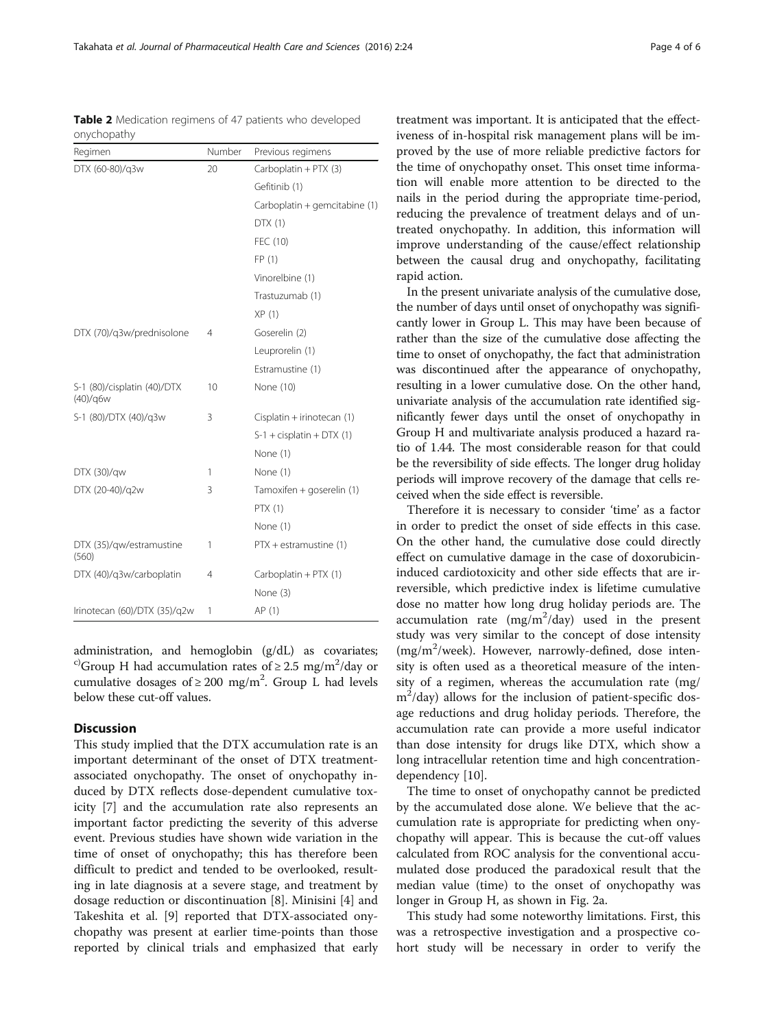administration, and hemoglobin (g/dL) as covariates; <sup>c)</sup>Group H had accumulation rates of  $\geq 2.5$  mg/m<sup>2</sup>/day or cumulative dosages of  $\geq 200$  mg/m<sup>2</sup>. Group L had levels below these cut-off values.

## **Discussion**

This study implied that the DTX accumulation rate is an important determinant of the onset of DTX treatmentassociated onychopathy. The onset of onychopathy induced by DTX reflects dose-dependent cumulative toxicity [[7\]](#page-5-0) and the accumulation rate also represents an important factor predicting the severity of this adverse event. Previous studies have shown wide variation in the time of onset of onychopathy; this has therefore been difficult to predict and tended to be overlooked, resulting in late diagnosis at a severe stage, and treatment by dosage reduction or discontinuation [\[8](#page-5-0)]. Minisini [\[4](#page-5-0)] and Takeshita et al. [\[9](#page-5-0)] reported that DTX-associated onychopathy was present at earlier time-points than those reported by clinical trials and emphasized that early

treatment was important. It is anticipated that the effectiveness of in-hospital risk management plans will be improved by the use of more reliable predictive factors for the time of onychopathy onset. This onset time information will enable more attention to be directed to the nails in the period during the appropriate time-period, reducing the prevalence of treatment delays and of untreated onychopathy. In addition, this information will improve understanding of the cause/effect relationship between the causal drug and onychopathy, facilitating rapid action.

In the present univariate analysis of the cumulative dose, the number of days until onset of onychopathy was significantly lower in Group L. This may have been because of rather than the size of the cumulative dose affecting the time to onset of onychopathy, the fact that administration was discontinued after the appearance of onychopathy, resulting in a lower cumulative dose. On the other hand, univariate analysis of the accumulation rate identified significantly fewer days until the onset of onychopathy in Group H and multivariate analysis produced a hazard ratio of 1.44. The most considerable reason for that could be the reversibility of side effects. The longer drug holiday periods will improve recovery of the damage that cells received when the side effect is reversible.

Therefore it is necessary to consider 'time' as a factor in order to predict the onset of side effects in this case. On the other hand, the cumulative dose could directly effect on cumulative damage in the case of doxorubicininduced cardiotoxicity and other side effects that are irreversible, which predictive index is lifetime cumulative dose no matter how long drug holiday periods are. The accumulation rate  $(mg/m^2/day)$  used in the present study was very similar to the concept of dose intensity (mg/m<sup>2</sup> /week). However, narrowly-defined, dose intensity is often used as a theoretical measure of the intensity of a regimen, whereas the accumulation rate (mg/  $m<sup>2</sup>/day$ ) allows for the inclusion of patient-specific dosage reductions and drug holiday periods. Therefore, the accumulation rate can provide a more useful indicator than dose intensity for drugs like DTX, which show a long intracellular retention time and high concentrationdependency [\[10](#page-5-0)].

The time to onset of onychopathy cannot be predicted by the accumulated dose alone. We believe that the accumulation rate is appropriate for predicting when onychopathy will appear. This is because the cut-off values calculated from ROC analysis for the conventional accumulated dose produced the paradoxical result that the median value (time) to the onset of onychopathy was longer in Group H, as shown in Fig. [2a.](#page-4-0)

This study had some noteworthy limitations. First, this was a retrospective investigation and a prospective cohort study will be necessary in order to verify the

<span id="page-3-0"></span>Table 2 Medication regimens of 47 patients who developed onychopathy

| Regimen                                 | Number | Previous regimens             |  |
|-----------------------------------------|--------|-------------------------------|--|
| DTX (60-80)/q3w                         | 20     | Carboplatin + PTX (3)         |  |
|                                         |        | Gefitinib (1)                 |  |
|                                         |        | Carboplatin + gemcitabine (1) |  |
|                                         |        | DTX(1)                        |  |
|                                         |        | FEC (10)                      |  |
|                                         |        | FP(1)                         |  |
|                                         |        | Vinorelbine (1)               |  |
|                                         |        | Trastuzumab (1)               |  |
|                                         |        | XP(1)                         |  |
| DTX (70)/q3w/prednisolone               | 4      | Goserelin (2)                 |  |
|                                         |        | Leuprorelin (1)               |  |
|                                         |        | Estramustine (1)              |  |
| S-1 (80)/cisplatin (40)/DTX<br>(40)/q6w | 10     | None (10)                     |  |
| S-1 (80)/DTX (40)/q3w                   | 3      | Cisplatin + irinotecan (1)    |  |
|                                         |        | $S-1$ + cisplatin + DTX (1)   |  |
|                                         |        | None (1)                      |  |
| DTX (30)/gw                             | 1      | None (1)                      |  |
| DTX (20-40)/q2w                         | 3      | Tamoxifen + goserelin (1)     |  |
|                                         |        | PTX (1)                       |  |
|                                         |        | None (1)                      |  |
| DTX (35)/qw/estramustine<br>(560)       | 1      | $PTX + estramustine (1)$      |  |
| DTX (40)/q3w/carboplatin                | 4      | Carboplatin + PTX (1)         |  |
|                                         |        | None (3)                      |  |
| Irinotecan (60)/DTX (35)/q2w            | 1      | AP(1)                         |  |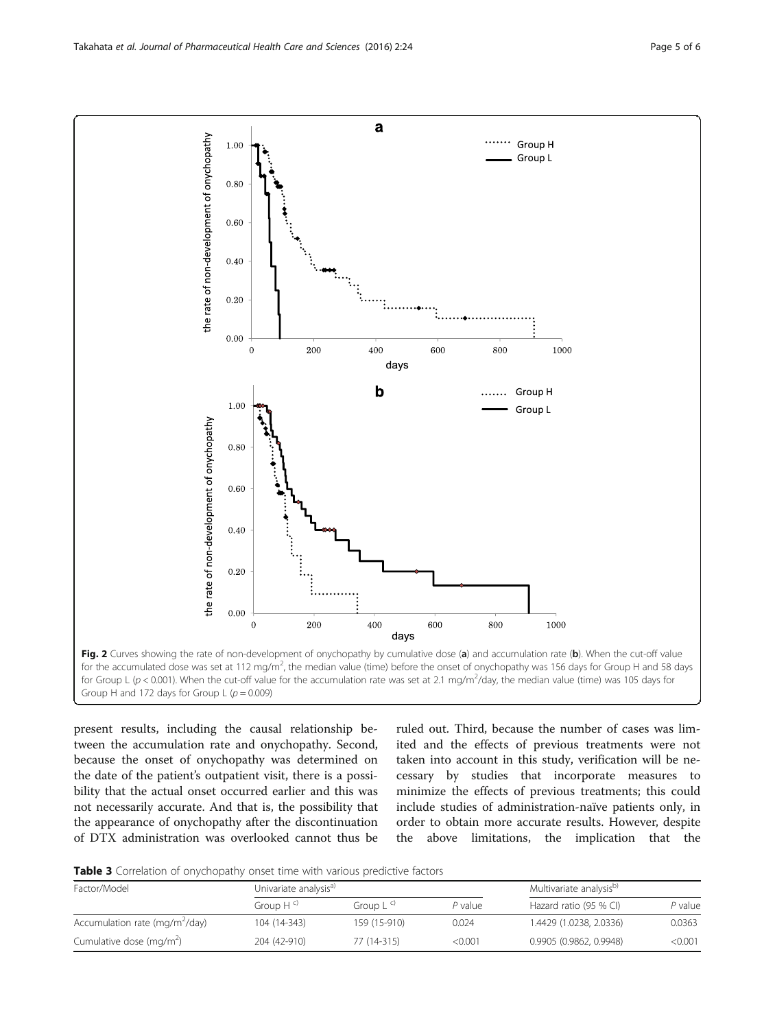<span id="page-4-0"></span>



present results, including the causal relationship between the accumulation rate and onychopathy. Second, because the onset of onychopathy was determined on the date of the patient's outpatient visit, there is a possibility that the actual onset occurred earlier and this was not necessarily accurate. And that is, the possibility that the appearance of onychopathy after the discontinuation of DTX administration was overlooked cannot thus be

ruled out. Third, because the number of cases was limited and the effects of previous treatments were not taken into account in this study, verification will be necessary by studies that incorporate measures to minimize the effects of previous treatments; this could include studies of administration-naïve patients only, in order to obtain more accurate results. However, despite the above limitations, the implication that the

Table 3 Correlation of onychopathy onset time with various predictive factors

| Factor/Model                               | Univariate analysis <sup>a)</sup> |                    |           | Multivariate analysis <sup>b)</sup> |           |
|--------------------------------------------|-----------------------------------|--------------------|-----------|-------------------------------------|-----------|
|                                            | Group $H^{c}$                     | Group $L^{\omega}$ | $P$ value | Hazard ratio (95 % CI)              | $P$ value |
| Accumulation rate (mg/m <sup>2</sup> /day) | 104 (14-343)                      | 159 (15-910)       | 0.024     | 1.4429 (1.0238, 2.0336)             | 0.0363    |
| Cumulative dose (mg/m <sup>2</sup> )       | 204 (42-910)                      | 77 (14-315)        | < 0.001   | 0.9905 (0.9862, 0.9948)             | < 0.001   |